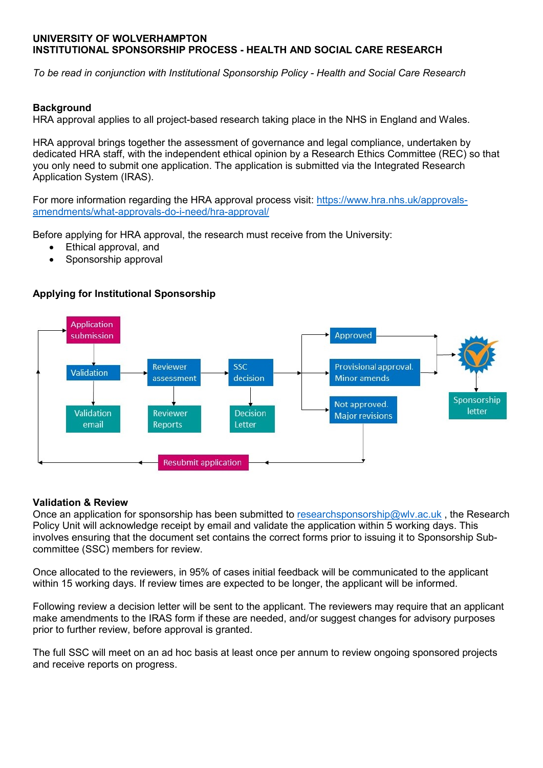# **UNIVERSITY OF WOLVERHAMPTON INSTITUTIONAL SPONSORSHIP PROCESS - HEALTH AND SOCIAL CARE RESEARCH**

*To be read in conjunction with Institutional Sponsorship Policy - Health and Social Care Research*

# **Background**

HRA approval applies to all project-based research taking place in the NHS in England and Wales.

HRA approval brings together the assessment of governance and legal compliance, undertaken by dedicated HRA staff, with the independent ethical opinion by a Research Ethics Committee (REC) so that you only need to submit one application. The application is submitted via the Integrated Research Application System (IRAS).

For more information regarding the HRA approval process visit: [https://www.hra.nhs.uk/approvals](https://www.hra.nhs.uk/approvals-amendments/what-approvals-do-i-need/hra-approval/)[amendments/what-approvals-do-i-need/hra-approval/](https://www.hra.nhs.uk/approvals-amendments/what-approvals-do-i-need/hra-approval/)

Before applying for HRA approval, the research must receive from the University:

- Ethical approval, and
- Sponsorship approval

# **Applying for Institutional Sponsorship**



# **Validation & Review**

Once an application for sponsorship has been submitted to [researchsponsorship@wlv.ac.uk](mailto:researchsponsorship@wlv.ac.uk) , the Research Policy Unit will acknowledge receipt by email and validate the application within 5 working days. This involves ensuring that the document set contains the correct forms prior to issuing it to Sponsorship Subcommittee (SSC) members for review.

Once allocated to the reviewers, in 95% of cases initial feedback will be communicated to the applicant within 15 working days. If review times are expected to be longer, the applicant will be informed.

Following review a decision letter will be sent to the applicant. The reviewers may require that an applicant make amendments to the IRAS form if these are needed, and/or suggest changes for advisory purposes prior to further review, before approval is granted.

The full SSC will meet on an ad hoc basis at least once per annum to review ongoing sponsored projects and receive reports on progress.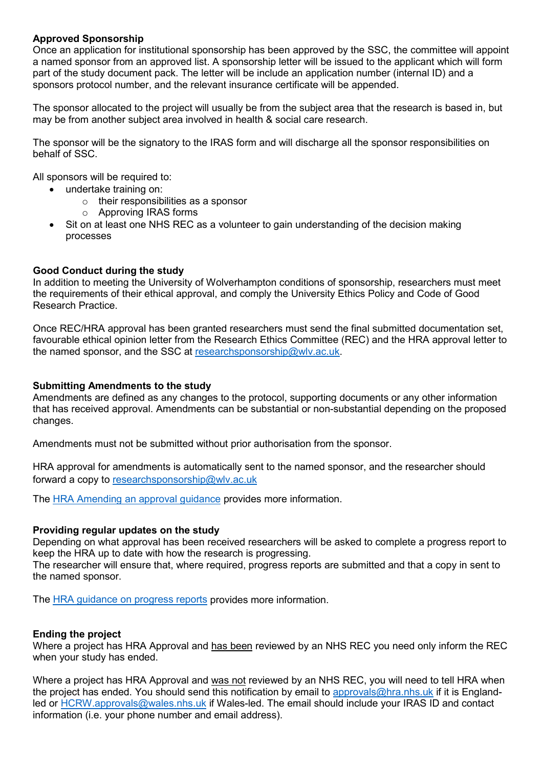# **Approved Sponsorship**

Once an application for institutional sponsorship has been approved by the SSC, the committee will appoint a named sponsor from an approved list. A sponsorship letter will be issued to the applicant which will form part of the study document pack. The letter will be include an application number (internal ID) and a sponsors protocol number, and the relevant insurance certificate will be appended.

The sponsor allocated to the project will usually be from the subject area that the research is based in, but may be from another subject area involved in health & social care research.

The sponsor will be the signatory to the IRAS form and will discharge all the sponsor responsibilities on behalf of SSC.

All sponsors will be required to:

- undertake training on:
	- o their responsibilities as a sponsor
	- o Approving IRAS forms
- Sit on at least one NHS REC as a volunteer to gain understanding of the decision making processes

# **Good Conduct during the study**

In addition to meeting the University of Wolverhampton conditions of sponsorship, researchers must meet the requirements of their ethical approval, and comply the University Ethics Policy and Code of Good Research Practice.

Once REC/HRA approval has been granted researchers must send the final submitted documentation set, favourable ethical opinion letter from the Research Ethics Committee (REC) and the HRA approval letter to the named sponsor, and the SSC at [researchsponsorship@wlv.ac.uk.](mailto:researchsponsorship@wlv.ac.uk)

### **Submitting Amendments to the study**

Amendments are defined as any changes to the protocol, supporting documents or any other information that has received approval. Amendments can be substantial or non-substantial depending on the proposed changes.

Amendments must not be submitted without prior authorisation from the sponsor.

HRA approval for amendments is automatically sent to the named sponsor, and the researcher should forward a copy to [researchsponsorship@wlv.ac.uk](mailto:researchsponsorship@wlv.ac.uk)

The [HRA Amending an approval guidance](https://www.hra.nhs.uk/approvals-amendments/amending-approval/) provides more information.

# **Providing regular updates on the study**

Depending on what approval has been received researchers will be asked to complete a progress report to keep the HRA up to date with how the research is progressing.

The researcher will ensure that, where required, progress reports are submitted and that a copy in sent to the named sponsor.

The [HRA guidance on progress reports](https://www.hra.nhs.uk/approvals-amendments/managing-your-approval/progress-reports/) provides more information.

# **Ending the project**

Where a project has HRA Approval and has been reviewed by an NHS REC you need only inform the REC when your study has ended.

Where a project has HRA Approval and was not reviewed by an NHS REC, you will need to tell HRA when the project has ended. You should send this notification by email to [approvals@hra.nhs.uk](mailto:approvals@hra.nhs.uk) if it is England-led or [HCRW.approvals@wales.nhs.uk](mailto:HCRW.approvals@wales.nhs.uk) if Wales-led. The email should include your IRAS ID and contact information (i.e. your phone number and email address).